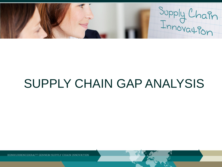Supply Chain

# SUPPLY CHAIN GAP ANALYSIS

KONKURREN **GENNEM SUPPLY CHAIN INNOVATION**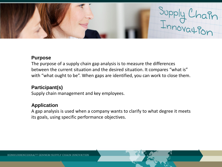

#### **Purpose**

The purpose of a supply chain gap analysis is to measure the differences between the current situation and the desired situation. It compares "what is" with "what ought to be". When gaps are identified, you can work to close them.

## **Participant(s)**

Supply chain management and key employees.

## **Application**

A gap analysis is used when a company wants to clarify to what degree it meets its goals, using specific performance objectives.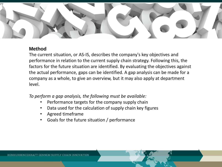

### **Method**

The current situation, or AS-IS, describes the company's key objectives and performance in relation to the current supply chain strategy. Following this, the factors for the future situation are identified. By evaluating the objectives against the actual performance, gaps can be identified. A gap analysis can be made for a company as a whole, to give an overview, but it may also apply at department level.

*To perform a gap analysis, the following must be available:*

- Performance targets for the company supply chain
- Data used for the calculation of supply chain key figures
- Agreed timeframe
- Goals for the future situation / performance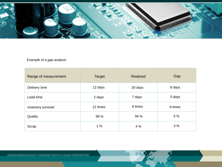

#### *Example of a gap analysis*

| Range of measurement | <b>Target</b> | <b>Realized</b> | Gap     |
|----------------------|---------------|-----------------|---------|
| Delivery time        | 12 days       | 20 days         | 8 days  |
| Lead-time            | 2 days        | 7 days          | 5 days  |
| Inventory turnover   | 12 times      | 6 times         | 6 times |
| Quality              | 99 %          | 94 %            | 5 %     |
| Scrap                | 1%            | 4 %             | 3%      |